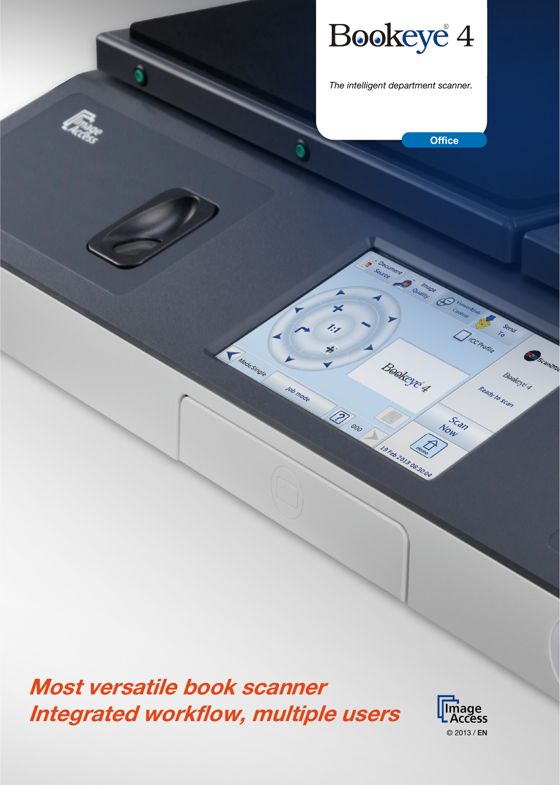Bookeye<sup>4</sup>

*The intelligent department scanner.*

**Office**

**Curation** 

**Book**cyc 4

**Is ru zuis accommodation** 

×

<sup>Corp</sup>oro

z,

Job mode

**TARGESTROIP** 

O

**TICC PROFILE** 

Scan Now

**SENSCAMENT** 

Bookste's

Ready to scan

Most versatile book scanner Integrated workflow, multiple users

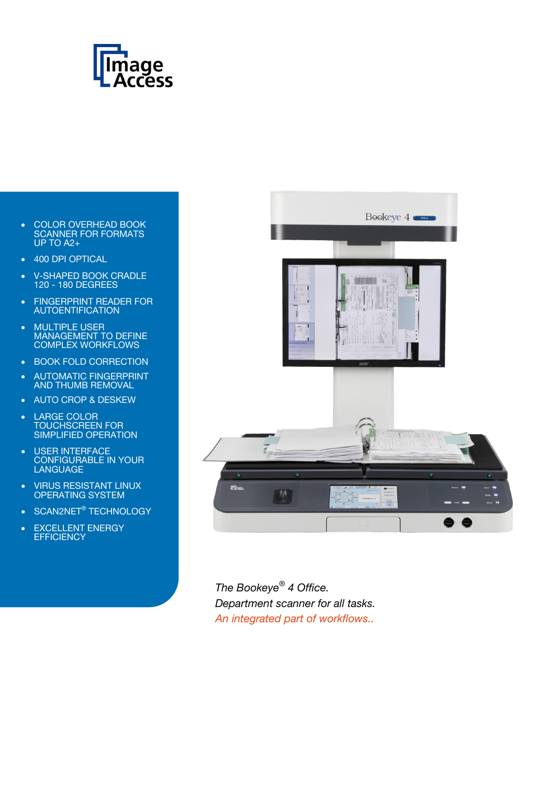

- COLOR OVERHEAD BOOK SCANNER FOR FORMATS UP TO A2+
- 400 DPI OPTICAL
- V-SHAPED BOOK CRADLE 120 - 180 DEGREES
- FINGERPRINT READER FOR AUTOENTIFICATION
- MULTIPLE USER MANAGEMENT TO DEFINE COMPLEX WORKFLOWS
- BOOK FOLD CORRECTION
- AUTOMATIC FINGERPRINT AND THUMB REMOVAL
- AUTO CROP & DESKEW
- LARGE COLOR TOUCHSCREEN FOR SIMPLIFIED OPERATION
- USER INTERFACE CONFIGURABLE IN YOUR LANGUAGE
- VIRUS RESISTANT LINUX OPERATING SYSTEM
- SCAN2NET<sup>®</sup> TECHNOLOGY
- EXCELLENT ENERGY **EFFICIENCY**



*The Bookeye® 4 Office. Department scanner for all tasks. An integrated part of workflows..*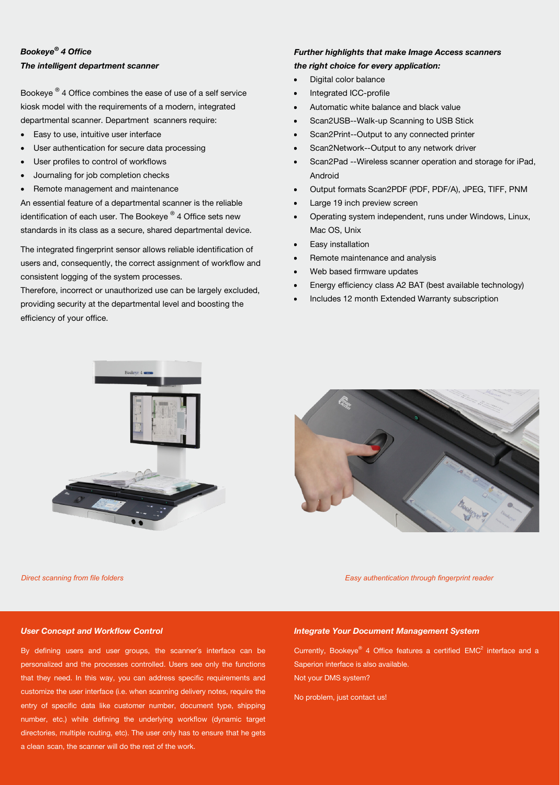# *Bookeye® 4 Office The intelligent department scanner*

Bookeye ® 4 Office combines the ease of use of a self service kiosk model with the requirements of a modern, integrated departmental scanner. Department scanners require:

- Easy to use, intuitive user interface
- User authentication for secure data processing
- User profiles to control of workflows
- Journaling for job completion checks
- Remote management and maintenance

An essential feature of a departmental scanner is the reliable identification of each user. The Bookeye  $^{\circledR}$  4 Office sets new standards in its class as a secure, shared departmental device.

The integrated fingerprint sensor allows reliable identification of users and, consequently, the correct assignment of workflow and consistent logging of the system processes.

Therefore, incorrect or unauthorized use can be largely excluded, providing security at the departmental level and boosting the efficiency of your office.

# *Further highlights that make Image Access scanners*

# *the right choice for every application:*

- Digital color balance
- Integrated ICC-profile
- Automatic white balance and black value
- Scan2USB--Walk-up Scanning to USB Stick
- Scan2Print--Output to any connected printer
- Scan2Network--Output to any network driver
- Scan2Pad --Wireless scanner operation and storage for iPad, Android
- Output formats Scan2PDF (PDF, PDF/A), JPEG, TIFF, PNM
- Large 19 inch preview screen
- Operating system independent, runs under Windows, Linux, Mac OS, Unix
- Easy installation
- Remote maintenance and analysis
- Web based firmware updates
- Energy efficiency class A2 BAT (best available technology)
- Includes 12 month Extended Warranty subscription





*Direct scanning from file folders Easy authentication through fingerprint reader*

### *User Concept and Workflow Control*

By defining users and user groups, the scanner´s interface can be personalized and the processes controlled. Users see only the functions that they need. In this way, you can address specific requirements and customize the user interface (i.e. when scanning delivery notes, require the entry of specific data like customer number, document type, shipping number, etc.) while defining the underlying workflow (dynamic target directories, multiple routing, etc). The user only has to ensure that he gets a clean scan, the scanner will do the rest of the work.

# *Integrate Your Document Management System*

Currently, Bookeye<sup>®</sup> 4 Office features a certified  $EMC<sup>2</sup>$  interface and a Saperion interface is also available. Not your DMS system?

No problem, just contact us!